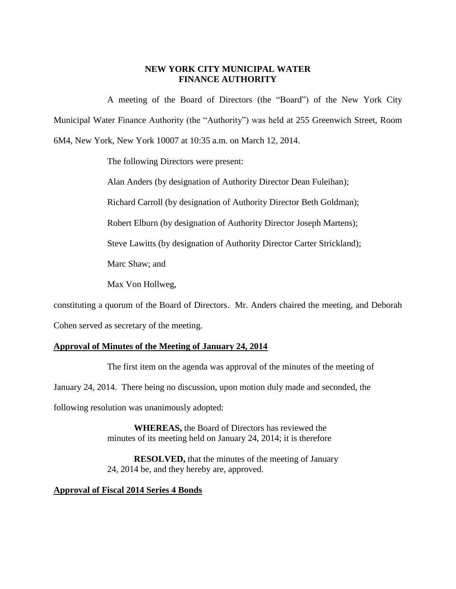## **NEW YORK CITY MUNICIPAL WATER FINANCE AUTHORITY**

A meeting of the Board of Directors (the "Board") of the New York City Municipal Water Finance Authority (the "Authority") was held at 255 Greenwich Street, Room 6M4, New York, New York 10007 at 10:35 a.m. on March 12, 2014.

The following Directors were present:

Alan Anders (by designation of Authority Director Dean Fuleihan);

Richard Carroll (by designation of Authority Director Beth Goldman);

Robert Elburn (by designation of Authority Director Joseph Martens);

Steve Lawitts (by designation of Authority Director Carter Strickland);

Marc Shaw; and

Max Von Hollweg,

constituting a quorum of the Board of Directors. Mr. Anders chaired the meeting, and Deborah

Cohen served as secretary of the meeting.

## **Approval of Minutes of the Meeting of January 24, 2014**

The first item on the agenda was approval of the minutes of the meeting of January 24, 2014. There being no discussion, upon motion duly made and seconded, the following resolution was unanimously adopted:

> **WHEREAS,** the Board of Directors has reviewed the minutes of its meeting held on January 24, 2014; it is therefore

**RESOLVED,** that the minutes of the meeting of January 24, 2014 be, and they hereby are, approved.

## **Approval of Fiscal 2014 Series 4 Bonds**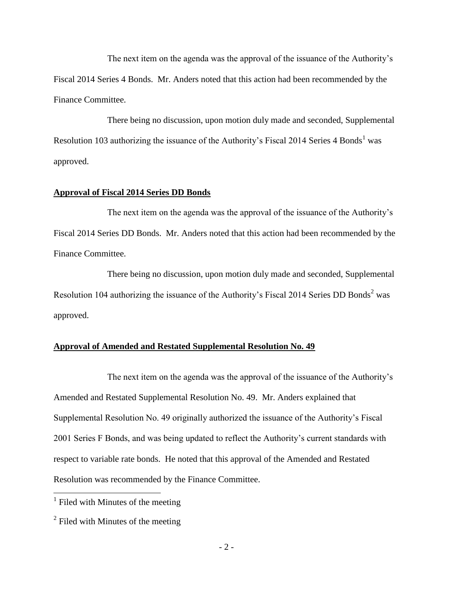The next item on the agenda was the approval of the issuance of the Authority's Fiscal 2014 Series 4 Bonds. Mr. Anders noted that this action had been recommended by the Finance Committee.

There being no discussion, upon motion duly made and seconded, Supplemental Resolution 103 authorizing the issuance of the Authority's Fiscal 2014 Series  $4$  Bonds<sup>1</sup> was approved.

#### **Approval of Fiscal 2014 Series DD Bonds**

The next item on the agenda was the approval of the issuance of the Authority's Fiscal 2014 Series DD Bonds. Mr. Anders noted that this action had been recommended by the Finance Committee.

There being no discussion, upon motion duly made and seconded, Supplemental Resolution 104 authorizing the issuance of the Authority's Fiscal 2014 Series DD Bonds<sup>2</sup> was approved.

#### **Approval of Amended and Restated Supplemental Resolution No. 49**

The next item on the agenda was the approval of the issuance of the Authority's Amended and Restated Supplemental Resolution No. 49. Mr. Anders explained that Supplemental Resolution No. 49 originally authorized the issuance of the Authority's Fiscal 2001 Series F Bonds, and was being updated to reflect the Authority's current standards with respect to variable rate bonds. He noted that this approval of the Amended and Restated Resolution was recommended by the Finance Committee.

 $\overline{a}$ 

<sup>&</sup>lt;sup>1</sup> Filed with Minutes of the meeting

 $2$  Filed with Minutes of the meeting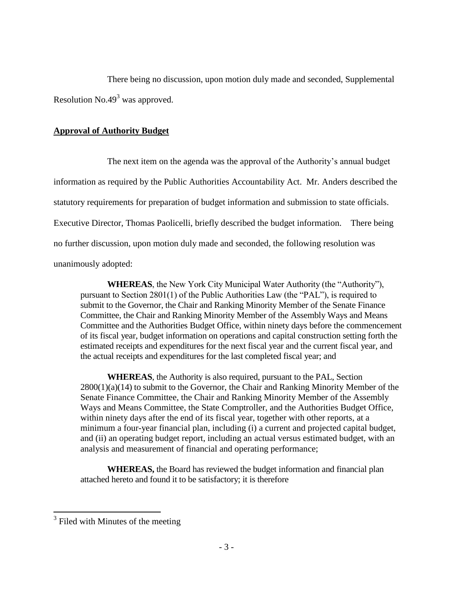There being no discussion, upon motion duly made and seconded, Supplemental Resolution  $No.49<sup>3</sup>$  was approved.

## **Approval of Authority Budget**

The next item on the agenda was the approval of the Authority's annual budget information as required by the Public Authorities Accountability Act. Mr. Anders described the statutory requirements for preparation of budget information and submission to state officials. Executive Director, Thomas Paolicelli, briefly described the budget information. There being no further discussion, upon motion duly made and seconded, the following resolution was unanimously adopted:

**WHEREAS**, the New York City Municipal Water Authority (the "Authority"), pursuant to Section 2801(1) of the Public Authorities Law (the "PAL"), is required to submit to the Governor, the Chair and Ranking Minority Member of the Senate Finance Committee, the Chair and Ranking Minority Member of the Assembly Ways and Means Committee and the Authorities Budget Office, within ninety days before the commencement of its fiscal year, budget information on operations and capital construction setting forth the estimated receipts and expenditures for the next fiscal year and the current fiscal year, and the actual receipts and expenditures for the last completed fiscal year; and

**WHEREAS**, the Authority is also required, pursuant to the PAL, Section 2800(1)(a)(14) to submit to the Governor, the Chair and Ranking Minority Member of the Senate Finance Committee, the Chair and Ranking Minority Member of the Assembly Ways and Means Committee, the State Comptroller, and the Authorities Budget Office, within ninety days after the end of its fiscal year, together with other reports, at a minimum a four-year financial plan, including (i) a current and projected capital budget, and (ii) an operating budget report, including an actual versus estimated budget, with an analysis and measurement of financial and operating performance;

**WHEREAS,** the Board has reviewed the budget information and financial plan attached hereto and found it to be satisfactory; it is therefore

<sup>&</sup>lt;sup>3</sup> Filed with Minutes of the meeting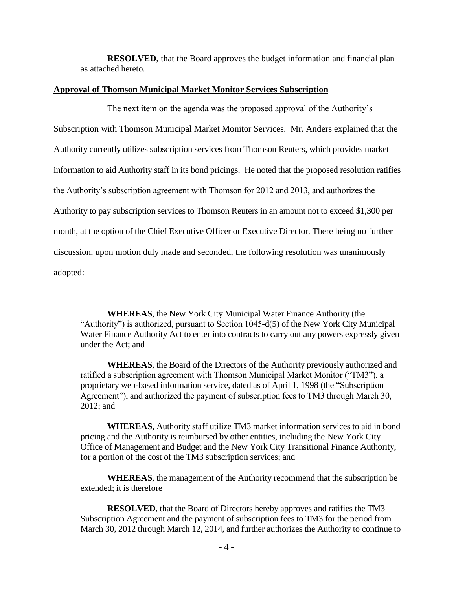**RESOLVED,** that the Board approves the budget information and financial plan as attached hereto.

#### **Approval of Thomson Municipal Market Monitor Services Subscription**

The next item on the agenda was the proposed approval of the Authority's Subscription with Thomson Municipal Market Monitor Services. Mr. Anders explained that the Authority currently utilizes subscription services from Thomson Reuters, which provides market information to aid Authority staff in its bond pricings. He noted that the proposed resolution ratifies the Authority's subscription agreement with Thomson for 2012 and 2013, and authorizes the Authority to pay subscription services to Thomson Reuters in an amount not to exceed \$1,300 per month, at the option of the Chief Executive Officer or Executive Director. There being no further discussion, upon motion duly made and seconded, the following resolution was unanimously adopted:

**WHEREAS**, the New York City Municipal Water Finance Authority (the "Authority") is authorized, pursuant to Section 1045-d(5) of the New York City Municipal Water Finance Authority Act to enter into contracts to carry out any powers expressly given under the Act; and

**WHEREAS**, the Board of the Directors of the Authority previously authorized and ratified a subscription agreement with Thomson Municipal Market Monitor ("TM3"), a proprietary web-based information service, dated as of April 1, 1998 (the "Subscription Agreement"), and authorized the payment of subscription fees to TM3 through March 30, 2012; and

**WHEREAS**, Authority staff utilize TM3 market information services to aid in bond pricing and the Authority is reimbursed by other entities, including the New York City Office of Management and Budget and the New York City Transitional Finance Authority, for a portion of the cost of the TM3 subscription services; and

**WHEREAS**, the management of the Authority recommend that the subscription be extended; it is therefore

**RESOLVED**, that the Board of Directors hereby approves and ratifies the TM3 Subscription Agreement and the payment of subscription fees to TM3 for the period from March 30, 2012 through March 12, 2014, and further authorizes the Authority to continue to